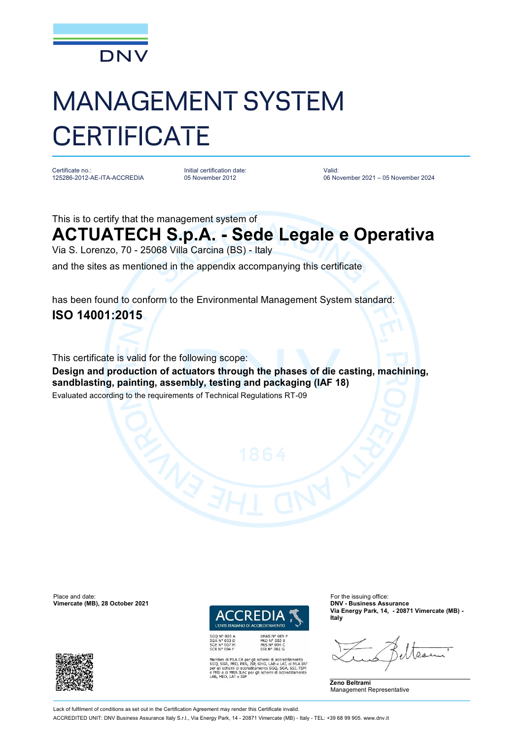

## MANAGEMENT SYSTEM **CERTIFICATE**

Certificate no.: 125286-2012-AE-ITA-ACCREDIA

Initial certification date: 05 November 2012

Valid: 06 November 2021 – 05 November 2024

This is to certify that the management system of

## **ACTUATECH S.p.A. - Sede Legale e Operativa**

Via S. Lorenzo, 70 - 25068 Villa Carcina (BS) - Italy

and the sites as mentioned in the appendix accompanying this certificate

has been found to conform to the Environmental Management System standard: **ISO 14001:2015**

This certificate is valid for the following scope:

**Design and production of actuators through the phases of die casting, machining, sandblasting, painting, assembly, testing and packaging (IAF 18)** Evaluated according to the requirements of Technical Regulations RT-09

Place and date: For the issuing office:<br> **Vimercate (MB), 28 October 2021 CONFINENTIAL CONFINENTIAL CONFINENTIAL CONFINENTIAL CONFINENTIAL CONFINENTIAL Vimercate (MB), 28 October 2021** 



PRD Nº 003 B<br>PRS Nº 094 C<br>SSI Nº 002 G

SGQ N° 003 A<br>SGA N° 003 D<br>SGE N° 007 M<br>SCR N° 004 F

ro di MLA EA per gli schemi di accreditamento<br>SGA, PRD, PRS, ISP, GHG, LAB e LAT, di MLA IAF<br>schemi di accreditamento SGQ, SGA, SSI, FSM \ ILAC per gli schemi di accr

**Via Energy Park, 14, - 20871 Vimercate (MB) - Italy**





Lack of fulfilment of conditions as set out in the Certification Agreement may render this Certificate invalid.

ACCREDITED UNIT: DNV Business Assurance Italy S.r.l., Via Energy Park, 14 - 20871 Vimercate (MB) - Italy - TEL: +39 68 99 905. www.dnv.it